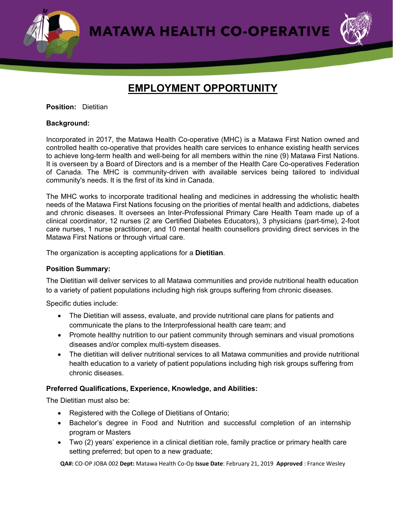**MATAWA HEALTH CO-OPERATIVE** 



# **EMPLOYMENT OPPORTUNITY**

## **Position:** Dietitian

## **Background:**

Incorporated in 2017, the Matawa Health Co-operative (MHC) is a Matawa First Nation owned and controlled health co-operative that provides health care services to enhance existing health services to achieve long-term health and well-being for all members within the nine (9) Matawa First Nations. It is overseen by a Board of Directors and is a member of the Health Care Co-operatives Federation of Canada. The MHC is community-driven with available services being tailored to individual community's needs. It is the first of its kind in Canada.

The MHC works to incorporate traditional healing and medicines in addressing the wholistic health needs of the Matawa First Nations focusing on the priorities of mental health and addictions, diabetes and chronic diseases. It oversees an Inter-Professional Primary Care Health Team made up of a clinical coordinator, 12 nurses (2 are Certified Diabetes Educators), 3 physicians (part-time), 2-foot care nurses, 1 nurse practitioner, and 10 mental health counsellors providing direct services in the Matawa First Nations or through virtual care.

The organization is accepting applications for a **Dietitian**.

### **Position Summary:**

The Dietitian will deliver services to all Matawa communities and provide nutritional health education to a variety of patient populations including high risk groups suffering from chronic diseases.

Specific duties include:

- The Dietitian will assess, evaluate, and provide nutritional care plans for patients and communicate the plans to the Interprofessional health care team; and
- Promote healthy nutrition to our patient community through seminars and visual promotions diseases and/or complex multi-system diseases.
- The dietitian will deliver nutritional services to all Matawa communities and provide nutritional health education to a variety of patient populations including high risk groups suffering from chronic diseases.

### **Preferred Qualifications, Experience, Knowledge, and Abilities:**

The Dietitian must also be:

- Registered with the College of Dietitians of Ontario;
- Bachelor's degree in Food and Nutrition and successful completion of an internship program or Masters
- Two (2) years' experience in a clinical dietitian role, family practice or primary health care setting preferred; but open to a new graduate;

**QA#:** CO-OP JOBA 002 **Dept:** Matawa Health Co-Op **Issue Date**: February 21, 2019 **Approved** : France Wesley